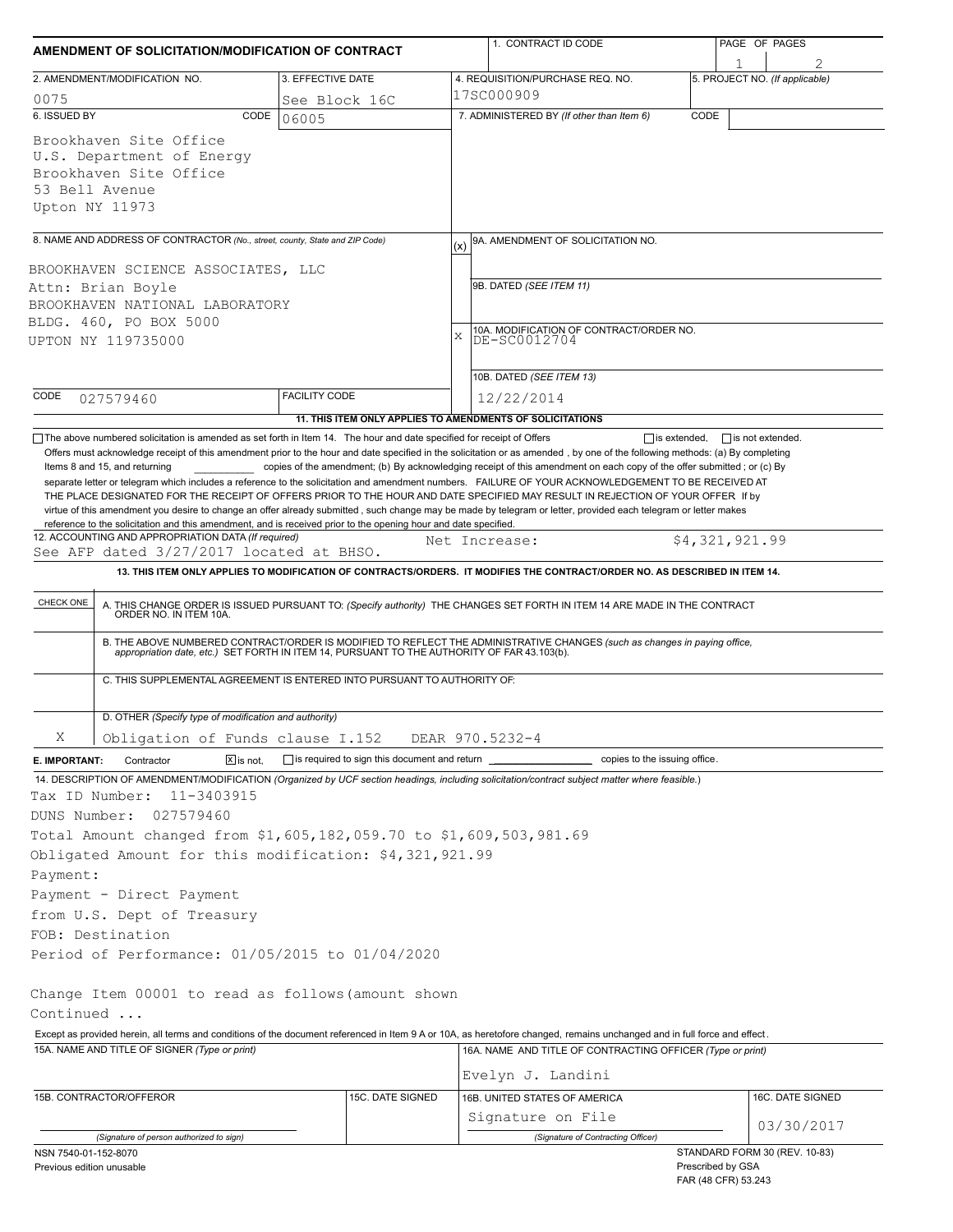| AMENDMENT OF SOLICITATION/MODIFICATION OF CONTRACT                                                                                                                                                                                                                                                                                                                                                                                                                                                                                                                                                                                  |                                                                          | 1. CONTRACT ID CODE                                                                                                                                                                                                                                                                                                                                                          | PAGE OF PAGES                  |  |  |  |  |
|-------------------------------------------------------------------------------------------------------------------------------------------------------------------------------------------------------------------------------------------------------------------------------------------------------------------------------------------------------------------------------------------------------------------------------------------------------------------------------------------------------------------------------------------------------------------------------------------------------------------------------------|--------------------------------------------------------------------------|------------------------------------------------------------------------------------------------------------------------------------------------------------------------------------------------------------------------------------------------------------------------------------------------------------------------------------------------------------------------------|--------------------------------|--|--|--|--|
| 2. AMENDMENT/MODIFICATION NO.                                                                                                                                                                                                                                                                                                                                                                                                                                                                                                                                                                                                       | 3. EFFECTIVE DATE                                                        | 4. REQUISITION/PURCHASE REQ. NO.                                                                                                                                                                                                                                                                                                                                             | 5. PROJECT NO. (If applicable) |  |  |  |  |
| 0075                                                                                                                                                                                                                                                                                                                                                                                                                                                                                                                                                                                                                                | See Block 16C                                                            | 17SC000909                                                                                                                                                                                                                                                                                                                                                                   |                                |  |  |  |  |
| 6. ISSUED BY<br>CODE                                                                                                                                                                                                                                                                                                                                                                                                                                                                                                                                                                                                                | 06005                                                                    | 7. ADMINISTERED BY (If other than Item 6)                                                                                                                                                                                                                                                                                                                                    | CODE                           |  |  |  |  |
| Brookhaven Site Office<br>U.S. Department of Energy<br>Brookhaven Site Office<br>53 Bell Avenue<br>Upton NY 11973                                                                                                                                                                                                                                                                                                                                                                                                                                                                                                                   |                                                                          |                                                                                                                                                                                                                                                                                                                                                                              |                                |  |  |  |  |
| 8. NAME AND ADDRESS OF CONTRACTOR (No., street, county, State and ZIP Code)                                                                                                                                                                                                                                                                                                                                                                                                                                                                                                                                                         |                                                                          | 9A. AMENDMENT OF SOLICITATION NO.<br>(x)                                                                                                                                                                                                                                                                                                                                     |                                |  |  |  |  |
| BROOKHAVEN SCIENCE ASSOCIATES, LLC                                                                                                                                                                                                                                                                                                                                                                                                                                                                                                                                                                                                  |                                                                          |                                                                                                                                                                                                                                                                                                                                                                              |                                |  |  |  |  |
| Attn: Brian Boyle<br>BROOKHAVEN NATIONAL LABORATORY                                                                                                                                                                                                                                                                                                                                                                                                                                                                                                                                                                                 |                                                                          | 9B. DATED (SEE ITEM 11)                                                                                                                                                                                                                                                                                                                                                      |                                |  |  |  |  |
| BLDG. 460, PO BOX 5000                                                                                                                                                                                                                                                                                                                                                                                                                                                                                                                                                                                                              |                                                                          |                                                                                                                                                                                                                                                                                                                                                                              |                                |  |  |  |  |
| UPTON NY 119735000                                                                                                                                                                                                                                                                                                                                                                                                                                                                                                                                                                                                                  |                                                                          | 10A. MODIFICATION OF CONTRACT/ORDER NO.<br>DE-SC0012704<br>X                                                                                                                                                                                                                                                                                                                 |                                |  |  |  |  |
|                                                                                                                                                                                                                                                                                                                                                                                                                                                                                                                                                                                                                                     |                                                                          | 10B. DATED (SEE ITEM 13)                                                                                                                                                                                                                                                                                                                                                     |                                |  |  |  |  |
| CODE<br>027579460                                                                                                                                                                                                                                                                                                                                                                                                                                                                                                                                                                                                                   | <b>FACILITY CODE</b>                                                     | 12/22/2014                                                                                                                                                                                                                                                                                                                                                                   |                                |  |  |  |  |
|                                                                                                                                                                                                                                                                                                                                                                                                                                                                                                                                                                                                                                     |                                                                          | 11. THIS ITEM ONLY APPLIES TO AMENDMENTS OF SOLICITATIONS                                                                                                                                                                                                                                                                                                                    |                                |  |  |  |  |
| separate letter or telegram which includes a reference to the solicitation and amendment numbers. FAILURE OF YOUR ACKNOWLEDGEMENT TO BE RECEIVED AT<br>THE PLACE DESIGNATED FOR THE RECEIPT OF OFFERS PRIOR TO THE HOUR AND DATE SPECIFIED MAY RESULT IN REJECTION OF YOUR OFFER If by<br>virtue of this amendment you desire to change an offer already submitted, such change may be made by telegram or letter, provided each telegram or letter makes<br>reference to the solicitation and this amendment, and is received prior to the opening hour and date specified.<br>12. ACCOUNTING AND APPROPRIATION DATA (If required) |                                                                          |                                                                                                                                                                                                                                                                                                                                                                              |                                |  |  |  |  |
| See AFP dated 3/27/2017 located at BHSO.                                                                                                                                                                                                                                                                                                                                                                                                                                                                                                                                                                                            |                                                                          | Net Increase:                                                                                                                                                                                                                                                                                                                                                                | \$4,321,921.99                 |  |  |  |  |
|                                                                                                                                                                                                                                                                                                                                                                                                                                                                                                                                                                                                                                     |                                                                          | 13. THIS ITEM ONLY APPLIES TO MODIFICATION OF CONTRACTS/ORDERS. IT MODIFIES THE CONTRACT/ORDER NO. AS DESCRIBED IN ITEM 14.                                                                                                                                                                                                                                                  |                                |  |  |  |  |
| CHECK ONE                                                                                                                                                                                                                                                                                                                                                                                                                                                                                                                                                                                                                           |                                                                          | A. THIS CHANGE ORDER IS ISSUED PURSUANT TO: (Specify authority) THE CHANGES SET FORTH IN ITEM 14 ARE MADE IN THE CONTRACT ORDER NO. IN ITEM 10A.<br>B. THE ABOVE NUMBERED CONTRACT/ORDER IS MODIFIED TO REFLECT THE ADMINISTRATIVE CHANGES (such as changes in paying office,<br>appropriation date, etc.) SET FORTH IN ITEM 14, PURSUANT TO THE AUTHORITY OF FAR 43.103(b). |                                |  |  |  |  |
|                                                                                                                                                                                                                                                                                                                                                                                                                                                                                                                                                                                                                                     | C. THIS SUPPLEMENTAL AGREEMENT IS ENTERED INTO PURSUANT TO AUTHORITY OF: |                                                                                                                                                                                                                                                                                                                                                                              |                                |  |  |  |  |
| D. OTHER (Specify type of modification and authority)                                                                                                                                                                                                                                                                                                                                                                                                                                                                                                                                                                               |                                                                          |                                                                                                                                                                                                                                                                                                                                                                              |                                |  |  |  |  |
| Χ<br>Obligation of Funds clause I.152                                                                                                                                                                                                                                                                                                                                                                                                                                                                                                                                                                                               |                                                                          | DEAR 970.5232-4                                                                                                                                                                                                                                                                                                                                                              |                                |  |  |  |  |
| $ \overline{x} $ is not.<br>E. IMPORTANT:<br>Contractor                                                                                                                                                                                                                                                                                                                                                                                                                                                                                                                                                                             |                                                                          | □ is required to sign this document and return<br><u>■ copies</u> to the issuing office.                                                                                                                                                                                                                                                                                     |                                |  |  |  |  |
| 14. DESCRIPTION OF AMENDMENT/MODIFICATION (Organized by UCF section headings, including solicitation/contract subject matter where feasible.)<br>Tax ID Number:<br>11-3403915                                                                                                                                                                                                                                                                                                                                                                                                                                                       |                                                                          |                                                                                                                                                                                                                                                                                                                                                                              |                                |  |  |  |  |
| 027579460<br>DUNS Number:                                                                                                                                                                                                                                                                                                                                                                                                                                                                                                                                                                                                           |                                                                          |                                                                                                                                                                                                                                                                                                                                                                              |                                |  |  |  |  |
| Total Amount changed from \$1,605,182,059.70 to \$1,609,503,981.69                                                                                                                                                                                                                                                                                                                                                                                                                                                                                                                                                                  |                                                                          |                                                                                                                                                                                                                                                                                                                                                                              |                                |  |  |  |  |
| Obligated Amount for this modification: \$4,321,921.99                                                                                                                                                                                                                                                                                                                                                                                                                                                                                                                                                                              |                                                                          |                                                                                                                                                                                                                                                                                                                                                                              |                                |  |  |  |  |
| Payment:                                                                                                                                                                                                                                                                                                                                                                                                                                                                                                                                                                                                                            |                                                                          |                                                                                                                                                                                                                                                                                                                                                                              |                                |  |  |  |  |
| Payment - Direct Payment                                                                                                                                                                                                                                                                                                                                                                                                                                                                                                                                                                                                            |                                                                          |                                                                                                                                                                                                                                                                                                                                                                              |                                |  |  |  |  |
| from U.S. Dept of Treasury                                                                                                                                                                                                                                                                                                                                                                                                                                                                                                                                                                                                          |                                                                          |                                                                                                                                                                                                                                                                                                                                                                              |                                |  |  |  |  |
| FOB: Destination                                                                                                                                                                                                                                                                                                                                                                                                                                                                                                                                                                                                                    |                                                                          |                                                                                                                                                                                                                                                                                                                                                                              |                                |  |  |  |  |
| Period of Performance: 01/05/2015 to 01/04/2020                                                                                                                                                                                                                                                                                                                                                                                                                                                                                                                                                                                     |                                                                          |                                                                                                                                                                                                                                                                                                                                                                              |                                |  |  |  |  |
| Change Item 00001 to read as follows (amount shown                                                                                                                                                                                                                                                                                                                                                                                                                                                                                                                                                                                  |                                                                          |                                                                                                                                                                                                                                                                                                                                                                              |                                |  |  |  |  |
| Continued                                                                                                                                                                                                                                                                                                                                                                                                                                                                                                                                                                                                                           |                                                                          |                                                                                                                                                                                                                                                                                                                                                                              |                                |  |  |  |  |
| Except as provided herein, all terms and conditions of the document referenced in Item 9 A or 10A, as heretofore changed, remains unchanged and in full force and effect.<br>15A. NAME AND TITLE OF SIGNER (Type or print)                                                                                                                                                                                                                                                                                                                                                                                                          |                                                                          | 16A. NAME AND TITLE OF CONTRACTING OFFICER (Type or print)                                                                                                                                                                                                                                                                                                                   |                                |  |  |  |  |
|                                                                                                                                                                                                                                                                                                                                                                                                                                                                                                                                                                                                                                     |                                                                          | Evelyn J. Landini                                                                                                                                                                                                                                                                                                                                                            |                                |  |  |  |  |
| 15B. CONTRACTOR/OFFEROR                                                                                                                                                                                                                                                                                                                                                                                                                                                                                                                                                                                                             | 15C. DATE SIGNED                                                         | 16B. UNITED STATES OF AMERICA                                                                                                                                                                                                                                                                                                                                                | 16C. DATE SIGNED               |  |  |  |  |
|                                                                                                                                                                                                                                                                                                                                                                                                                                                                                                                                                                                                                                     |                                                                          | Signature on File                                                                                                                                                                                                                                                                                                                                                            |                                |  |  |  |  |
| (Signature of person authorized to sign)                                                                                                                                                                                                                                                                                                                                                                                                                                                                                                                                                                                            |                                                                          | (Signature of Contracting Officer)                                                                                                                                                                                                                                                                                                                                           | 03/30/2017                     |  |  |  |  |
| NSN 7540-01-152-8070                                                                                                                                                                                                                                                                                                                                                                                                                                                                                                                                                                                                                |                                                                          |                                                                                                                                                                                                                                                                                                                                                                              | STANDARD FORM 30 (REV. 10-83)  |  |  |  |  |
| Previous edition unusable                                                                                                                                                                                                                                                                                                                                                                                                                                                                                                                                                                                                           |                                                                          |                                                                                                                                                                                                                                                                                                                                                                              | Prescribed by GSA              |  |  |  |  |

Prescribed by GSA FAR (48 CFR) 53.243